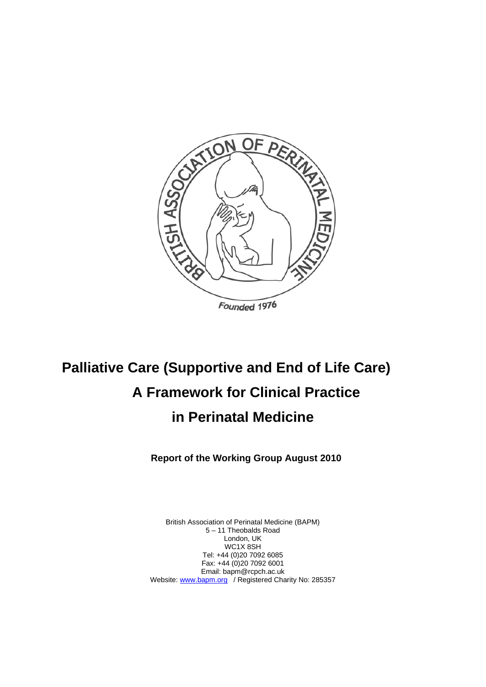

# **Palliative Care (Supportive and End of Life Care) A Framework for Clinical Practice in Perinatal Medicine**

**Report of the Working Group August 2010** 

British Association of Perinatal Medicine (BAPM) 5 – 11 Theobalds Road London, UK WC1X 8SH Tel: +44 (0)20 7092 6085 Fax: +44 (0)20 7092 6001 Email: bapm@rcpch.ac.uk Website: www.bapm.org / Registered Charity No: 285357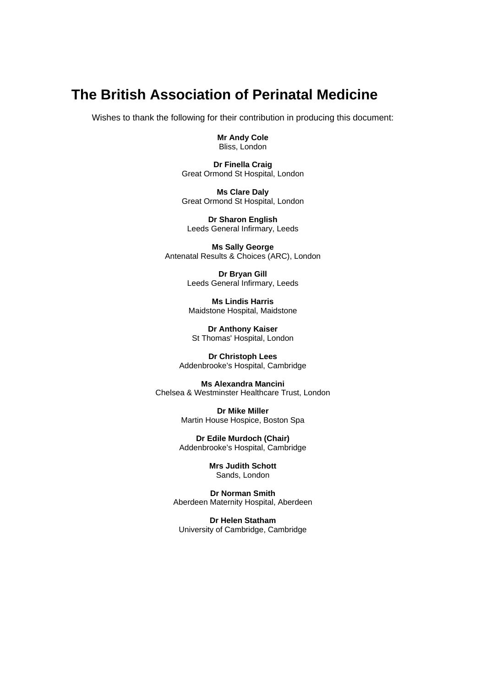# **The British Association of Perinatal Medicine**

Wishes to thank the following for their contribution in producing this document:

**Mr Andy Cole**  Bliss, London

**Dr Finella Craig**  Great Ormond St Hospital, London

**Ms Clare Daly**  Great Ormond St Hospital, London

**Dr Sharon English**  Leeds General Infirmary, Leeds

**Ms Sally George**  Antenatal Results & Choices (ARC), London

> **Dr Bryan Gill**  Leeds General Infirmary, Leeds

**Ms Lindis Harris**  Maidstone Hospital, Maidstone

**Dr Anthony Kaiser**  St Thomas' Hospital, London

**Dr Christoph Lees**  Addenbrooke's Hospital, Cambridge

**Ms Alexandra Mancini**  Chelsea & Westminster Healthcare Trust, London

> **Dr Mike Miller**  Martin House Hospice, Boston Spa

**Dr Edile Murdoch (Chair)**  Addenbrooke's Hospital, Cambridge

> **Mrs Judith Schott**  Sands, London

**Dr Norman Smith**  Aberdeen Maternity Hospital, Aberdeen

**Dr Helen Statham**  University of Cambridge, Cambridge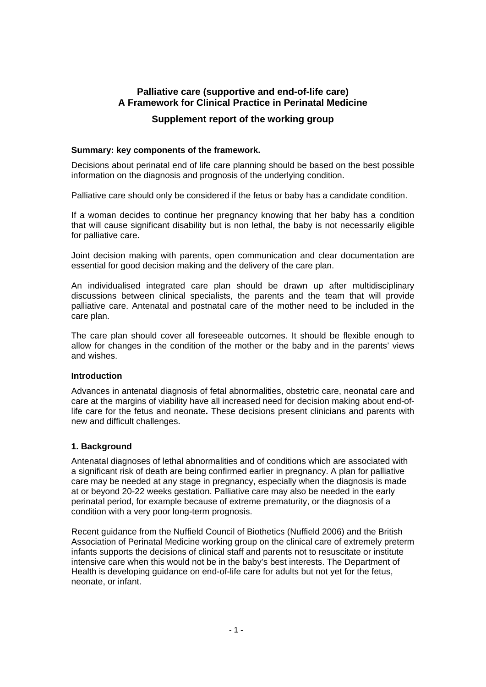# **Palliative care (supportive and end-of-life care) A Framework for Clinical Practice in Perinatal Medicine**

# **Supplement report of the working group**

#### **Summary: key components of the framework.**

Decisions about perinatal end of life care planning should be based on the best possible information on the diagnosis and prognosis of the underlying condition.

Palliative care should only be considered if the fetus or baby has a candidate condition.

If a woman decides to continue her pregnancy knowing that her baby has a condition that will cause significant disability but is non lethal, the baby is not necessarily eligible for palliative care.

Joint decision making with parents, open communication and clear documentation are essential for good decision making and the delivery of the care plan.

An individualised integrated care plan should be drawn up after multidisciplinary discussions between clinical specialists, the parents and the team that will provide palliative care. Antenatal and postnatal care of the mother need to be included in the care plan.

The care plan should cover all foreseeable outcomes. It should be flexible enough to allow for changes in the condition of the mother or the baby and in the parents' views and wishes.

#### **Introduction**

Advances in antenatal diagnosis of fetal abnormalities, obstetric care, neonatal care and care at the margins of viability have all increased need for decision making about end-oflife care for the fetus and neonate**.** These decisions present clinicians and parents with new and difficult challenges.

#### **1. Background**

Antenatal diagnoses of lethal abnormalities and of conditions which are associated with a significant risk of death are being confirmed earlier in pregnancy. A plan for palliative care may be needed at any stage in pregnancy, especially when the diagnosis is made at or beyond 20-22 weeks gestation. Palliative care may also be needed in the early perinatal period, for example because of extreme prematurity, or the diagnosis of a condition with a very poor long-term prognosis.

Recent guidance from the Nuffield Council of Biothetics (Nuffield 2006) and the British Association of Perinatal Medicine working group on the clinical care of extremely preterm infants supports the decisions of clinical staff and parents not to resuscitate or institute intensive care when this would not be in the baby's best interests. The Department of Health is developing guidance on end-of-life care for adults but not yet for the fetus, neonate, or infant.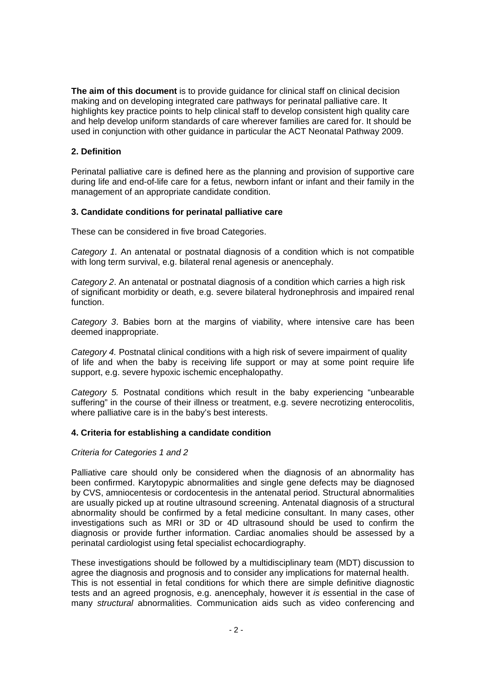**The aim of this document** is to provide guidance for clinical staff on clinical decision making and on developing integrated care pathways for perinatal palliative care. It highlights key practice points to help clinical staff to develop consistent high quality care and help develop uniform standards of care wherever families are cared for. It should be used in conjunction with other guidance in particular the ACT Neonatal Pathway 2009.

# **2. Definition**

Perinatal palliative care is defined here as the planning and provision of supportive care during life and end-of-life care for a fetus, newborn infant or infant and their family in the management of an appropriate candidate condition.

# **3. Candidate conditions for perinatal palliative care**

These can be considered in five broad Categories.

*Category 1.* An antenatal or postnatal diagnosis of a condition which is not compatible with long term survival, e.g. bilateral renal agenesis or anencephaly.

*Category 2*. An antenatal or postnatal diagnosis of a condition which carries a high risk of significant morbidity or death, e.g. severe bilateral hydronephrosis and impaired renal function.

*Category 3*. Babies born at the margins of viability, where intensive care has been deemed inappropriate.

*Category 4.* Postnatal clinical conditions with a high risk of severe impairment of quality of life and when the baby is receiving life support or may at some point require life support, e.g. severe hypoxic ischemic encephalopathy.

*Category 5.* Postnatal conditions which result in the baby experiencing "unbearable suffering" in the course of their illness or treatment, e.g. severe necrotizing enterocolitis, where palliative care is in the baby's best interests.

#### **4. Criteria for establishing a candidate condition**

#### *Criteria for Categories 1 and 2*

Palliative care should only be considered when the diagnosis of an abnormality has been confirmed. Karytopypic abnormalities and single gene defects may be diagnosed by CVS, amniocentesis or cordocentesis in the antenatal period. Structural abnormalities are usually picked up at routine ultrasound screening. Antenatal diagnosis of a structural abnormality should be confirmed by a fetal medicine consultant. In many cases, other investigations such as MRI or 3D or 4D ultrasound should be used to confirm the diagnosis or provide further information. Cardiac anomalies should be assessed by a perinatal cardiologist using fetal specialist echocardiography.

These investigations should be followed by a multidisciplinary team (MDT) discussion to agree the diagnosis and prognosis and to consider any implications for maternal health. This is not essential in fetal conditions for which there are simple definitive diagnostic tests and an agreed prognosis, e.g. anencephaly, however it *is* essential in the case of many *structural* abnormalities. Communication aids such as video conferencing and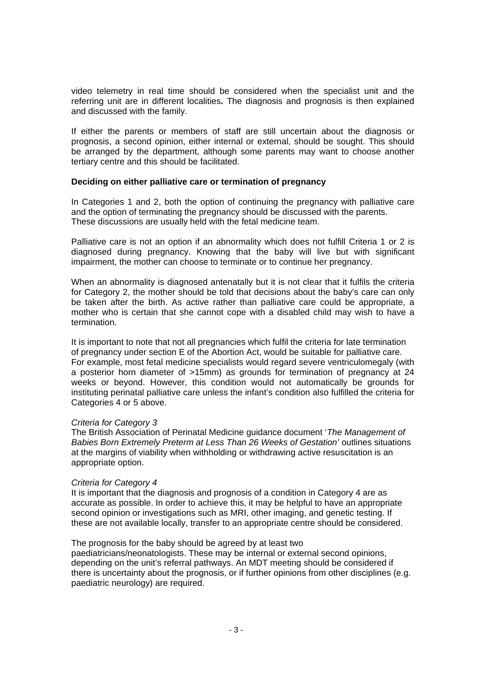video telemetry in real time should be considered when the specialist unit and the referring unit are in different localities**.** The diagnosis and prognosis is then explained and discussed with the family.

If either the parents or members of staff are still uncertain about the diagnosis or prognosis, a second opinion, either internal or external, should be sought. This should be arranged by the department, although some parents may want to choose another tertiary centre and this should be facilitated.

#### **Deciding on either palliative care or termination of pregnancy**

In Categories 1 and 2, both the option of continuing the pregnancy with palliative care and the option of terminating the pregnancy should be discussed with the parents. These discussions are usually held with the fetal medicine team.

Palliative care is not an option if an abnormality which does not fulfill Criteria 1 or 2 is diagnosed during pregnancy. Knowing that the baby will live but with significant impairment, the mother can choose to terminate or to continue her pregnancy.

When an abnormality is diagnosed antenatally but it is not clear that it fulfils the criteria for Category 2, the mother should be told that decisions about the baby's care can only be taken after the birth. As active rather than palliative care could be appropriate, a mother who is certain that she cannot cope with a disabled child may wish to have a termination.

It is important to note that not all pregnancies which fulfil the criteria for late termination of pregnancy under section E of the Abortion Act, would be suitable for palliative care. For example, most fetal medicine specialists would regard severe ventriculomegaly (with a posterior horn diameter of >15mm) as grounds for termination of pregnancy at 24 weeks or beyond. However, this condition would not automatically be grounds for instituting perinatal palliative care unless the infant's condition also fulfilled the criteria for Categories 4 or 5 above.

#### *Criteria for Category 3*

The British Association of Perinatal Medicine guidance document '*The Management of Babies Born Extremely Preterm at Less Than 26 Weeks of Gestation'* outlines situations at the margins of viability when withholding or withdrawing active resuscitation is an appropriate option.

#### *Criteria for Category 4*

It is important that the diagnosis and prognosis of a condition in Category 4 are as accurate as possible. In order to achieve this, it may be helpful to have an appropriate second opinion or investigations such as MRI, other imaging, and genetic testing. If these are not available locally, transfer to an appropriate centre should be considered.

#### The prognosis for the baby should be agreed by at least two

paediatricians/neonatologists. These may be internal or external second opinions, depending on the unit's referral pathways. An MDT meeting should be considered if there is uncertainty about the prognosis, or if further opinions from other disciplines (e.g. paediatric neurology) are required.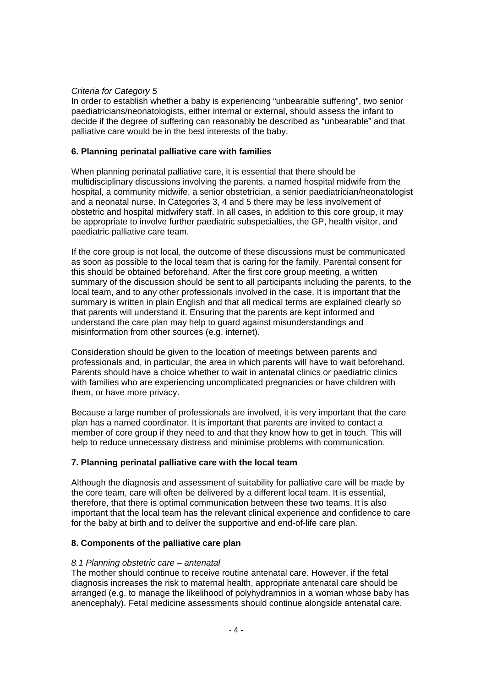#### *Criteria for Category 5*

In order to establish whether a baby is experiencing "unbearable suffering", two senior paediatricians/neonatologists, either internal or external, should assess the infant to decide if the degree of suffering can reasonably be described as "unbearable" and that palliative care would be in the best interests of the baby.

# **6. Planning perinatal palliative care with families**

When planning perinatal palliative care, it is essential that there should be multidisciplinary discussions involving the parents, a named hospital midwife from the hospital, a community midwife, a senior obstetrician, a senior paediatrician/neonatologist and a neonatal nurse. In Categories 3, 4 and 5 there may be less involvement of obstetric and hospital midwifery staff. In all cases, in addition to this core group, it may be appropriate to involve further paediatric subspecialties, the GP, health visitor, and paediatric palliative care team.

If the core group is not local, the outcome of these discussions must be communicated as soon as possible to the local team that is caring for the family. Parental consent for this should be obtained beforehand. After the first core group meeting, a written summary of the discussion should be sent to all participants including the parents, to the local team, and to any other professionals involved in the case. It is important that the summary is written in plain English and that all medical terms are explained clearly so that parents will understand it. Ensuring that the parents are kept informed and understand the care plan may help to guard against misunderstandings and misinformation from other sources (e.g. internet).

Consideration should be given to the location of meetings between parents and professionals and, in particular, the area in which parents will have to wait beforehand. Parents should have a choice whether to wait in antenatal clinics or paediatric clinics with families who are experiencing uncomplicated pregnancies or have children with them, or have more privacy.

Because a large number of professionals are involved, it is very important that the care plan has a named coordinator. It is important that parents are invited to contact a member of core group if they need to and that they know how to get in touch. This will help to reduce unnecessary distress and minimise problems with communication*.*

# **7. Planning perinatal palliative care with the local team**

Although the diagnosis and assessment of suitability for palliative care will be made by the core team, care will often be delivered by a different local team. It is essential, therefore, that there is optimal communication between these two teams. It is also important that the local team has the relevant clinical experience and confidence to care for the baby at birth and to deliver the supportive and end-of-life care plan.

#### **8. Components of the palliative care plan**

#### *8.1 Planning obstetric care – antenatal*

The mother should continue to receive routine antenatal care. However, if the fetal diagnosis increases the risk to maternal health, appropriate antenatal care should be arranged (e.g. to manage the likelihood of polyhydramnios in a woman whose baby has anencephaly). Fetal medicine assessments should continue alongside antenatal care.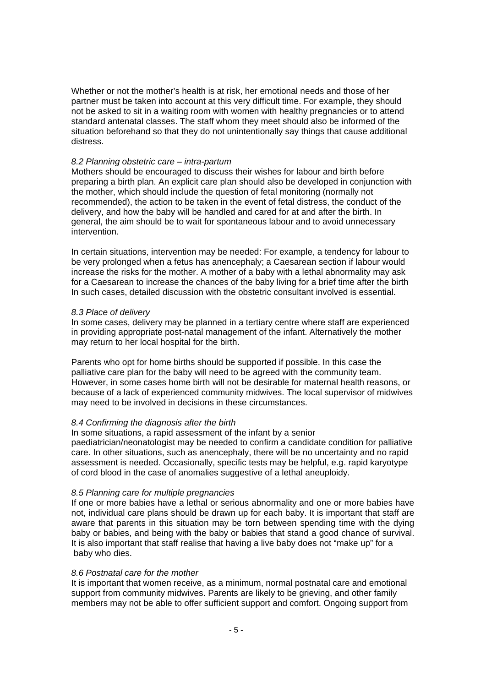Whether or not the mother's health is at risk, her emotional needs and those of her partner must be taken into account at this very difficult time. For example, they should not be asked to sit in a waiting room with women with healthy pregnancies or to attend standard antenatal classes. The staff whom they meet should also be informed of the situation beforehand so that they do not unintentionally say things that cause additional distress.

#### *8.2 Planning obstetric care – intra-partum*

Mothers should be encouraged to discuss their wishes for labour and birth before preparing a birth plan. An explicit care plan should also be developed in conjunction with the mother, which should include the question of fetal monitoring (normally not recommended), the action to be taken in the event of fetal distress, the conduct of the delivery, and how the baby will be handled and cared for at and after the birth. In general, the aim should be to wait for spontaneous labour and to avoid unnecessary intervention.

In certain situations, intervention may be needed: For example, a tendency for labour to be very prolonged when a fetus has anencephaly; a Caesarean section if labour would increase the risks for the mother. A mother of a baby with a lethal abnormality may ask for a Caesarean to increase the chances of the baby living for a brief time after the birth In such cases, detailed discussion with the obstetric consultant involved is essential.

#### *8.3 Place of delivery*

In some cases, delivery may be planned in a tertiary centre where staff are experienced in providing appropriate post-natal management of the infant. Alternatively the mother may return to her local hospital for the birth.

Parents who opt for home births should be supported if possible. In this case the palliative care plan for the baby will need to be agreed with the community team. However, in some cases home birth will not be desirable for maternal health reasons, or because of a lack of experienced community midwives. The local supervisor of midwives may need to be involved in decisions in these circumstances.

#### *8.4 Confirming the diagnosis after the birth*

In some situations, a rapid assessment of the infant by a senior paediatrician/neonatologist may be needed to confirm a candidate condition for palliative care. In other situations, such as anencephaly, there will be no uncertainty and no rapid assessment is needed. Occasionally, specific tests may be helpful, e.g. rapid karyotype of cord blood in the case of anomalies suggestive of a lethal aneuploidy.

#### *8.5 Planning care for multiple pregnancies*

If one or more babies have a lethal or serious abnormality and one or more babies have not, individual care plans should be drawn up for each baby. It is important that staff are aware that parents in this situation may be torn between spending time with the dying baby or babies, and being with the baby or babies that stand a good chance of survival. It is also important that staff realise that having a live baby does not "make up" for a baby who dies.

#### *8.6 Postnatal care for the mother*

It is important that women receive, as a minimum, normal postnatal care and emotional support from community midwives. Parents are likely to be grieving, and other family members may not be able to offer sufficient support and comfort. Ongoing support from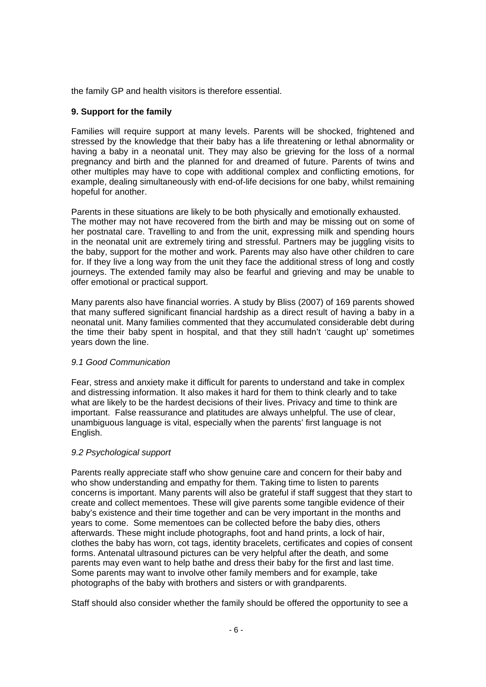the family GP and health visitors is therefore essential.

# **9. Support for the family**

Families will require support at many levels. Parents will be shocked, frightened and stressed by the knowledge that their baby has a life threatening or lethal abnormality or having a baby in a neonatal unit. They may also be grieving for the loss of a normal pregnancy and birth and the planned for and dreamed of future. Parents of twins and other multiples may have to cope with additional complex and conflicting emotions, for example, dealing simultaneously with end-of-life decisions for one baby, whilst remaining hopeful for another.

Parents in these situations are likely to be both physically and emotionally exhausted. The mother may not have recovered from the birth and may be missing out on some of her postnatal care. Travelling to and from the unit, expressing milk and spending hours in the neonatal unit are extremely tiring and stressful. Partners may be juggling visits to the baby, support for the mother and work. Parents may also have other children to care for. If they live a long way from the unit they face the additional stress of long and costly journeys. The extended family may also be fearful and grieving and may be unable to offer emotional or practical support.

Many parents also have financial worries. A study by Bliss (2007) of 169 parents showed that many suffered significant financial hardship as a direct result of having a baby in a neonatal unit. Many families commented that they accumulated considerable debt during the time their baby spent in hospital, and that they still hadn't 'caught up' sometimes years down the line.

#### *9.1 Good Communication*

Fear, stress and anxiety make it difficult for parents to understand and take in complex and distressing information. It also makes it hard for them to think clearly and to take what are likely to be the hardest decisions of their lives. Privacy and time to think are important. False reassurance and platitudes are always unhelpful. The use of clear, unambiguous language is vital, especially when the parents' first language is not English.

#### *9.2 Psychological support*

Parents really appreciate staff who show genuine care and concern for their baby and who show understanding and empathy for them. Taking time to listen to parents concerns is important. Many parents will also be grateful if staff suggest that they start to create and collect mementoes. These will give parents some tangible evidence of their baby's existence and their time together and can be very important in the months and years to come. Some mementoes can be collected before the baby dies, others afterwards. These might include photographs, foot and hand prints, a lock of hair, clothes the baby has worn, cot tags, identity bracelets, certificates and copies of consent forms. Antenatal ultrasound pictures can be very helpful after the death, and some parents may even want to help bathe and dress their baby for the first and last time. Some parents may want to involve other family members and for example, take photographs of the baby with brothers and sisters or with grandparents.

Staff should also consider whether the family should be offered the opportunity to see a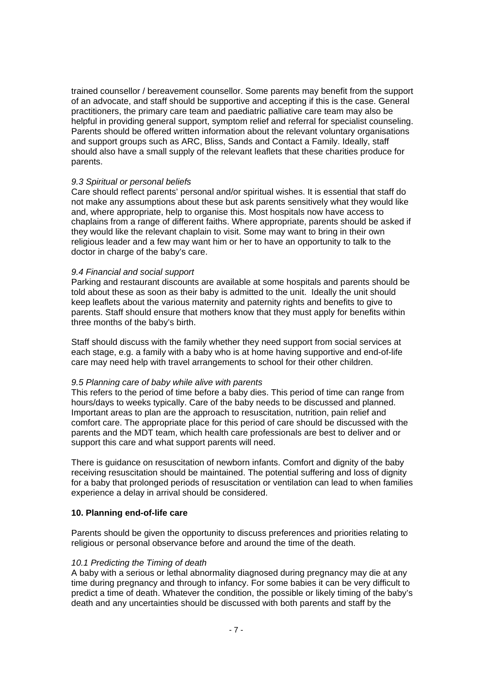trained counsellor / bereavement counsellor. Some parents may benefit from the support of an advocate, and staff should be supportive and accepting if this is the case. General practitioners, the primary care team and paediatric palliative care team may also be helpful in providing general support, symptom relief and referral for specialist counseling. Parents should be offered written information about the relevant voluntary organisations and support groups such as ARC, Bliss, Sands and Contact a Family. Ideally, staff should also have a small supply of the relevant leaflets that these charities produce for parents.

#### *9.3 Spiritual or personal beliefs*

Care should reflect parents' personal and/or spiritual wishes. It is essential that staff do not make any assumptions about these but ask parents sensitively what they would like and, where appropriate, help to organise this. Most hospitals now have access to chaplains from a range of different faiths. Where appropriate, parents should be asked if they would like the relevant chaplain to visit. Some may want to bring in their own religious leader and a few may want him or her to have an opportunity to talk to the doctor in charge of the baby's care.

#### *9.4 Financial and social support*

Parking and restaurant discounts are available at some hospitals and parents should be told about these as soon as their baby is admitted to the unit. Ideally the unit should keep leaflets about the various maternity and paternity rights and benefits to give to parents. Staff should ensure that mothers know that they must apply for benefits within three months of the baby's birth.

Staff should discuss with the family whether they need support from social services at each stage, e.g. a family with a baby who is at home having supportive and end-of-life care may need help with travel arrangements to school for their other children.

#### *9.5 Planning care of baby while alive with parents*

This refers to the period of time before a baby dies. This period of time can range from hours/days to weeks typically. Care of the baby needs to be discussed and planned. Important areas to plan are the approach to resuscitation, nutrition, pain relief and comfort care. The appropriate place for this period of care should be discussed with the parents and the MDT team, which health care professionals are best to deliver and or support this care and what support parents will need.

There is guidance on resuscitation of newborn infants. Comfort and dignity of the baby receiving resuscitation should be maintained. The potential suffering and loss of dignity for a baby that prolonged periods of resuscitation or ventilation can lead to when families experience a delay in arrival should be considered.

#### **10. Planning end-of-life care**

Parents should be given the opportunity to discuss preferences and priorities relating to religious or personal observance before and around the time of the death.

#### *10.1 Predicting the Timing of death*

A baby with a serious or lethal abnormality diagnosed during pregnancy may die at any time during pregnancy and through to infancy. For some babies it can be very difficult to predict a time of death. Whatever the condition, the possible or likely timing of the baby's death and any uncertainties should be discussed with both parents and staff by the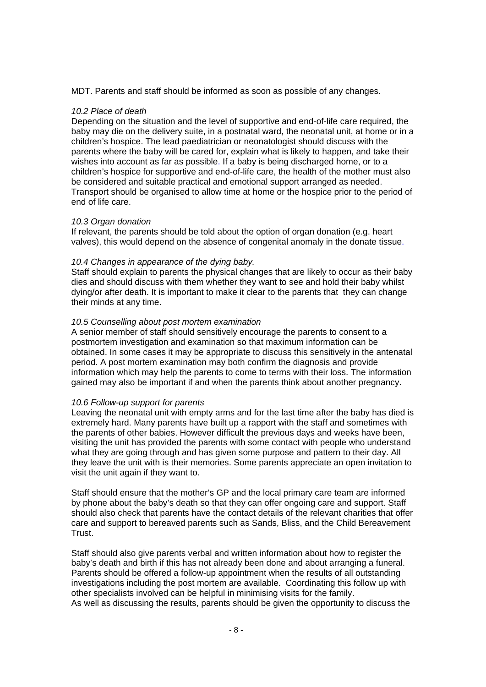MDT. Parents and staff should be informed as soon as possible of any changes.

#### *10.2 Place of death*

Depending on the situation and the level of supportive and end-of-life care required, the baby may die on the delivery suite, in a postnatal ward, the neonatal unit, at home or in a children's hospice. The lead paediatrician or neonatologist should discuss with the parents where the baby will be cared for, explain what is likely to happen, and take their wishes into account as far as possible. If a baby is being discharged home, or to a children's hospice for supportive and end-of-life care, the health of the mother must also be considered and suitable practical and emotional support arranged as needed. Transport should be organised to allow time at home or the hospice prior to the period of end of life care.

#### *10.3 Organ donation*

If relevant, the parents should be told about the option of organ donation (e.g. heart valves), this would depend on the absence of congenital anomaly in the donate tissue.

#### *10.4 Changes in appearance of the dying baby.*

Staff should explain to parents the physical changes that are likely to occur as their baby dies and should discuss with them whether they want to see and hold their baby whilst dying/or after death. It is important to make it clear to the parents that they can change their minds at any time.

#### *10.5 Counselling about post mortem examination*

A senior member of staff should sensitively encourage the parents to consent to a postmortem investigation and examination so that maximum information can be obtained. In some cases it may be appropriate to discuss this sensitively in the antenatal period. A post mortem examination may both confirm the diagnosis and provide information which may help the parents to come to terms with their loss. The information gained may also be important if and when the parents think about another pregnancy.

#### *10.6 Follow-up support for parents*

Leaving the neonatal unit with empty arms and for the last time after the baby has died is extremely hard. Many parents have built up a rapport with the staff and sometimes with the parents of other babies. However difficult the previous days and weeks have been, visiting the unit has provided the parents with some contact with people who understand what they are going through and has given some purpose and pattern to their day. All they leave the unit with is their memories. Some parents appreciate an open invitation to visit the unit again if they want to.

Staff should ensure that the mother's GP and the local primary care team are informed by phone about the baby's death so that they can offer ongoing care and support. Staff should also check that parents have the contact details of the relevant charities that offer care and support to bereaved parents such as Sands, Bliss, and the Child Bereavement Trust.

Staff should also give parents verbal and written information about how to register the baby's death and birth if this has not already been done and about arranging a funeral. Parents should be offered a follow-up appointment when the results of all outstanding investigations including the post mortem are available. Coordinating this follow up with other specialists involved can be helpful in minimising visits for the family. As well as discussing the results, parents should be given the opportunity to discuss the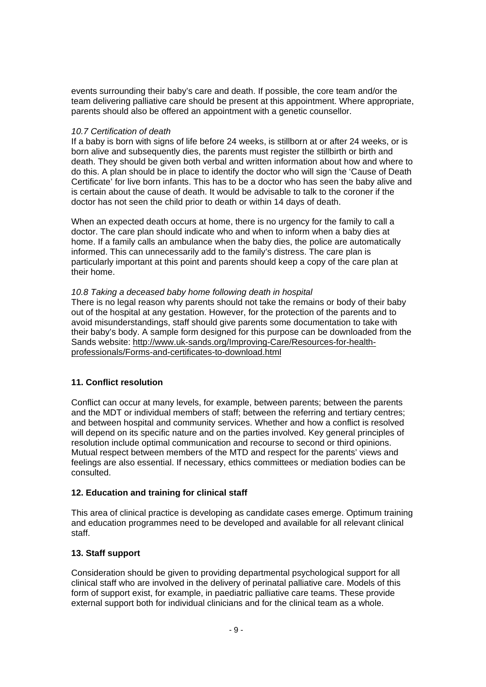events surrounding their baby's care and death. If possible, the core team and/or the team delivering palliative care should be present at this appointment. Where appropriate, parents should also be offered an appointment with a genetic counsellor.

#### *10.7 Certification of death*

If a baby is born with signs of life before 24 weeks, is stillborn at or after 24 weeks, or is born alive and subsequently dies, the parents must register the stillbirth or birth and death. They should be given both verbal and written information about how and where to do this. A plan should be in place to identify the doctor who will sign the 'Cause of Death Certificate' for live born infants. This has to be a doctor who has seen the baby alive and is certain about the cause of death. It would be advisable to talk to the coroner if the doctor has not seen the child prior to death or within 14 days of death.

When an expected death occurs at home, there is no urgency for the family to call a doctor. The care plan should indicate who and when to inform when a baby dies at home. If a family calls an ambulance when the baby dies, the police are automatically informed. This can unnecessarily add to the family's distress. The care plan is particularly important at this point and parents should keep a copy of the care plan at their home.

# *10.8 Taking a deceased baby home following death in hospital*

There is no legal reason why parents should not take the remains or body of their baby out of the hospital at any gestation. However, for the protection of the parents and to avoid misunderstandings, staff should give parents some documentation to take with their baby's body. A sample form designed for this purpose can be downloaded from the Sands website: http://www.uk-sands.org/Improving-Care/Resources-for-healthprofessionals/Forms-and-certificates-to-download.html

# **11. Conflict resolution**

Conflict can occur at many levels, for example, between parents; between the parents and the MDT or individual members of staff; between the referring and tertiary centres; and between hospital and community services. Whether and how a conflict is resolved will depend on its specific nature and on the parties involved. Key general principles of resolution include optimal communication and recourse to second or third opinions. Mutual respect between members of the MTD and respect for the parents' views and feelings are also essential. If necessary, ethics committees or mediation bodies can be consulted.

# **12. Education and training for clinical staff**

This area of clinical practice is developing as candidate cases emerge. Optimum training and education programmes need to be developed and available for all relevant clinical staff.

# **13. Staff support**

Consideration should be given to providing departmental psychological support for all clinical staff who are involved in the delivery of perinatal palliative care. Models of this form of support exist, for example, in paediatric palliative care teams. These provide external support both for individual clinicians and for the clinical team as a whole.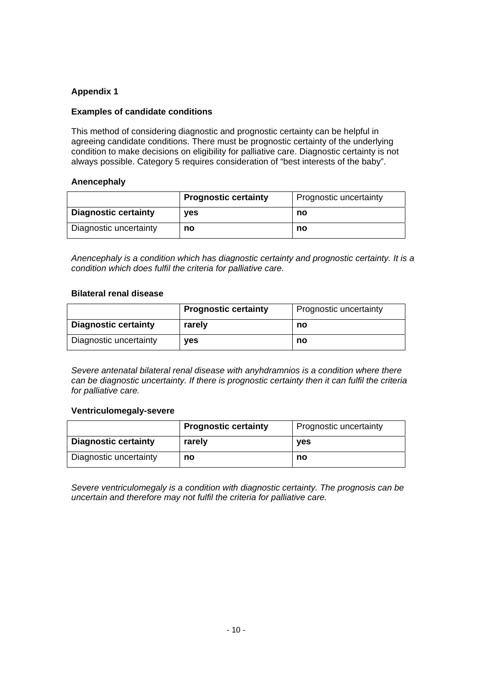# **Appendix 1**

# **Examples of candidate conditions**

This method of considering diagnostic and prognostic certainty can be helpful in agreeing candidate conditions. There must be prognostic certainty of the underlying condition to make decisions on eligibility for palliative care. Diagnostic certainty is not always possible. Category 5 requires consideration of "best interests of the baby".

# **Anencephaly**

|                             | <b>Prognostic certainty</b> | Prognostic uncertainty |
|-----------------------------|-----------------------------|------------------------|
| <b>Diagnostic certainty</b> | <b>ves</b>                  | no                     |
| Diagnostic uncertainty      | no                          | no                     |

*Anencephaly is a condition which has diagnostic certainty and prognostic certainty. It is a condition which does fulfil the criteria for palliative care.* 

#### **Bilateral renal disease**

|                             | <b>Prognostic certainty</b> | Prognostic uncertainty |
|-----------------------------|-----------------------------|------------------------|
| <b>Diagnostic certainty</b> | rarely                      | no                     |
| Diagnostic uncertainty      | <b>ves</b>                  | no                     |

*Severe antenatal bilateral renal disease with anyhdramnios is a condition where there can be diagnostic uncertainty. If there is prognostic certainty then it can fulfil the criteria for palliative care.* 

#### **Ventriculomegaly-severe**

|                             | <b>Prognostic certainty</b> | Prognostic uncertainty |
|-----------------------------|-----------------------------|------------------------|
| <b>Diagnostic certainty</b> | rarely                      | <b>ves</b>             |
| Diagnostic uncertainty      | no                          | no                     |

*Severe ventriculomegaly is a condition with diagnostic certainty. The prognosis can be uncertain and therefore may not fulfil the criteria for palliative care.*